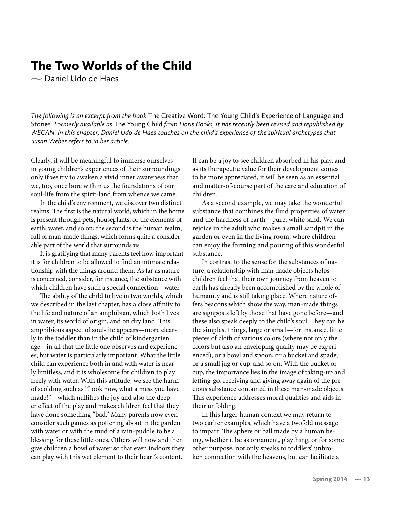## The Two Worlds of the Child

**-** Daniel Udo de Haes

*The following is an excerpt from the book* The Creative Word: The Young Child's Experience of Language and Stories*. Formerly available as* The Young Child *from Floris Books, it has recently been revised and republished by WECAN. In this chapter, Daniel Udo de Haes touches on the child's experience of the spiritual archetypes that Susan Weber refers to in her article.*

Clearly, it will be meaningful to immerse ourselves in young children's experiences of their surroundings only if we try to awaken a vivid inner awareness that we, too, once bore within us the foundations of our soul-life from the spirit-land from whence we came.

In the child's environment, we discover two distinct realms. The first is the natural world, which in the home is present through pets, houseplants, or the elements of earth, water, and so on; the second is the human realm, full of man-made things, which forms quite a considerable part of the world that surrounds us.

It is gratifying that many parents feel how important it is for children to be allowed to find an intimate relationship with the things around them. As far as nature is concerned, consider, for instance, the substance with which children have such a special connection—water.

The ability of the child to live in two worlds, which we described in the last chapter, has a close affinity to the life and nature of an amphibian, which both lives in water, its world of origin, and on dry land. This amphibious aspect of soul-life appears—more clearly in the toddler than in the child of kindergarten age—in all that the little one observes and experiences; but water is particularly important. What the little child can experience both in and with water is nearly limitless, and it is wholesome for children to play freely with water. With this attitude, we see the harm of scolding such as "Look now, what a mess you have made!"—which nullifies the joy and also the deeper effect of the play and makes children feel that they have done something "bad." Many parents now even consider such games as pottering about in the garden with water or with the mud of a rain-puddle to be a blessing for these little ones. Others will now and then give children a bowl of water so that even indoors they can play with this wet element to their heart's content.

It can be a joy to see children absorbed in his play, and as its therapeutic value for their development comes to be more appreciated, it will be seen as an essential and matter-of-course part of the care and education of children.

As a second example, we may take the wonderful substance that combines the fluid properties of water and the hardness of earth—pure, white sand. We can rejoice in the adult who makes a small sandpit in the garden or even in the living room, where children can enjoy the forming and pouring of this wonderful substance.

In contrast to the sense for the substances of nature, a relationship with man-made objects helps children feel that their own journey from heaven to earth has already been accomplished by the whole of humanity and is still taking place. Where nature offers beacons which show the way, man-made things are signposts left by those that have gone before—and these also speak deeply to the child's soul. They can be the simplest things, large or small—for instance, little pieces of cloth of various colors (where not only the colors but also an enveloping quality may be experienced), or a bowl and spoon, or a bucket and spade, or a small jug or cup, and so on. With the bucket or cup, the importance lies in the image of taking-up and letting-go, receiving and giving away again of the precious substance contained in these man-made objects. This experience addresses moral qualities and aids in their unfolding.

In this larger human context we may return to two earlier examples, which have a twofold message to impart. The sphere or ball made by a human being, whether it be as ornament, plaything, or for some other purpose, not only speaks to toddlers' unbroken connection with the heavens, but can facilitate a